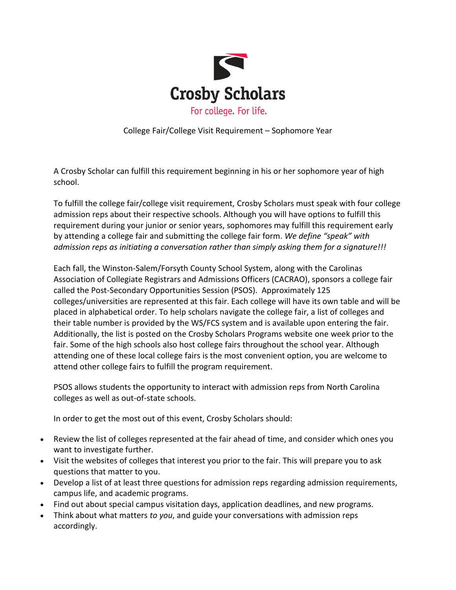

College Fair/College Visit Requirement – Sophomore Year

A Crosby Scholar can fulfill this requirement beginning in his or her sophomore year of high school.

To fulfill the college fair/college visit requirement, Crosby Scholars must speak with four college admission reps about their respective schools. Although you will have options to fulfill this requirement during your junior or senior years, sophomores may fulfill this requirement early by attending a college fair and submitting the college fair form. *We define "speak" with admission reps as initiating a conversation rather than simply asking them for a signature!!!*

Each fall, the Winston-Salem/Forsyth County School System, along with the Carolinas Association of Collegiate Registrars and Admissions Officers (CACRAO), sponsors a college fair called the Post-Secondary Opportunities Session (PSOS). Approximately 125 colleges/universities are represented at this fair. Each college will have its own table and will be placed in alphabetical order. To help scholars navigate the college fair, a list of colleges and their table number is provided by the WS/FCS system and is available upon entering the fair. Additionally, the list is posted on the Crosby Scholars Programs website one week prior to the fair. Some of the high schools also host college fairs throughout the school year. Although attending one of these local college fairs is the most convenient option, you are welcome to attend other college fairs to fulfill the program requirement.

PSOS allows students the opportunity to interact with admission reps from North Carolina colleges as well as out-of-state schools.

In order to get the most out of this event, Crosby Scholars should:

- Review the list of colleges represented at the fair ahead of time, and consider which ones you want to investigate further.
- Visit the websites of colleges that interest you prior to the fair. This will prepare you to ask questions that matter to you.
- Develop a list of at least three questions for admission reps regarding admission requirements, campus life, and academic programs.
- Find out about special campus visitation days, application deadlines, and new programs.
- Think about what matters *to you*, and guide your conversations with admission reps accordingly.